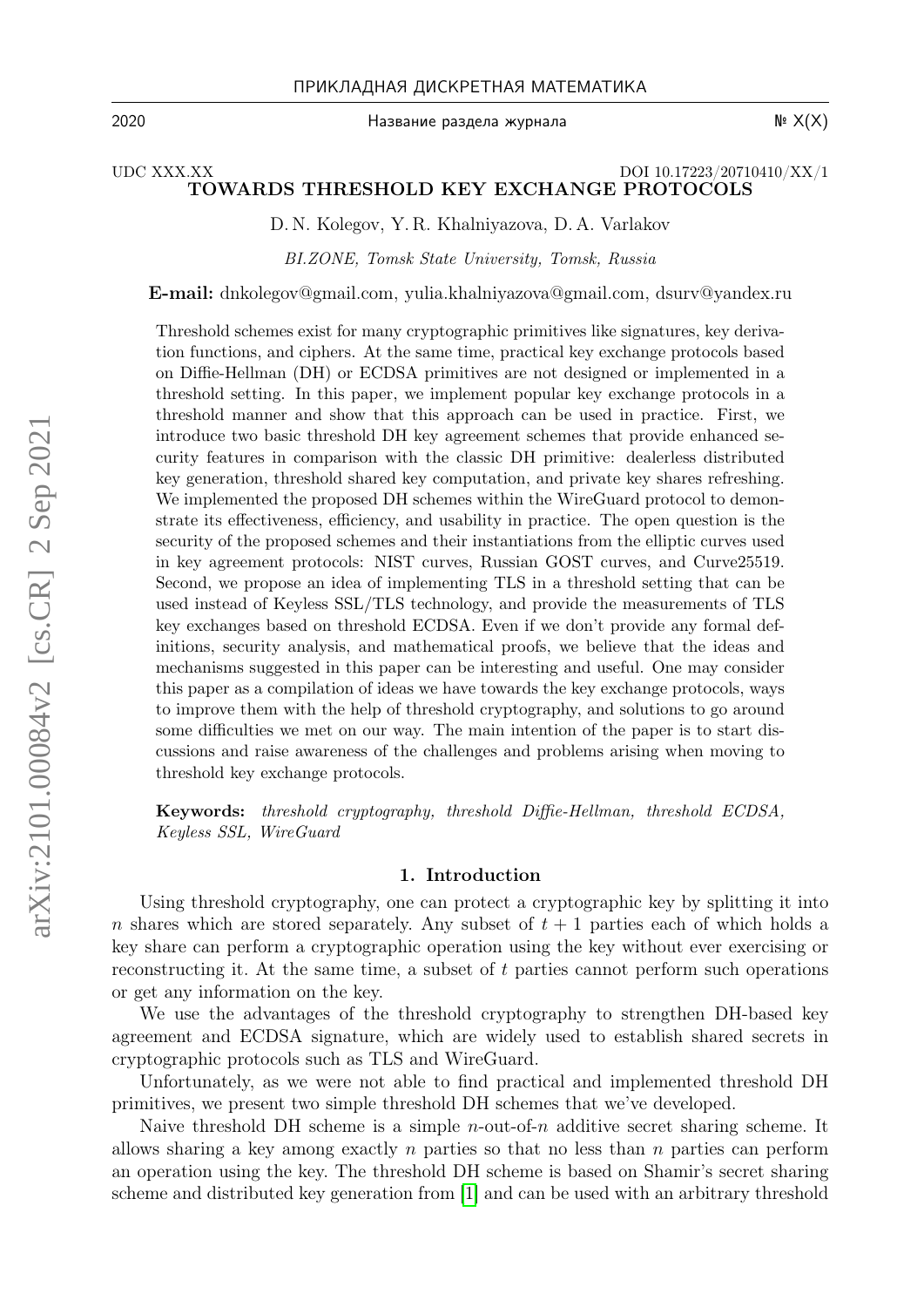Название раздела журнала  $\mathbb{N}^2$  Х(X)

2020

## UDC XXX.XX DOI 10.17223/20710410/XX/1 TOWARDS THRESHOLD KEY EXCHANGE PROTOCOLS

D. N. Kolegov, Y. R. Khalniyazova, D. A. Varlakov

BI.ZONE, Tomsk State University, Tomsk, Russia

E-mail: dnkolegov@gmail.com, yulia.khalniyazova@gmail.com, dsurv@yandex.ru

Threshold schemes exist for many cryptographic primitives like signatures, key derivation functions, and ciphers. At the same time, practical key exchange protocols based on Diffie-Hellman (DH) or ECDSA primitives are not designed or implemented in a threshold setting. In this paper, we implement popular key exchange protocols in a threshold manner and show that this approach can be used in practice. First, we introduce two basic threshold DH key agreement schemes that provide enhanced security features in comparison with the classic DH primitive: dealerless distributed key generation, threshold shared key computation, and private key shares refreshing. We implemented the proposed DH schemes within the WireGuard protocol to demonstrate its effectiveness, efficiency, and usability in practice. The open question is the security of the proposed schemes and their instantiations from the elliptic curves used in key agreement protocols: NIST curves, Russian GOST curves, and Curve25519. Second, we propose an idea of implementing TLS in a threshold setting that can be used instead of Keyless SSL/TLS technology, and provide the measurements of TLS key exchanges based on threshold ECDSA. Even if we don't provide any formal definitions, security analysis, and mathematical proofs, we believe that the ideas and mechanisms suggested in this paper can be interesting and useful. One may consider this paper as a compilation of ideas we have towards the key exchange protocols, ways to improve them with the help of threshold cryptography, and solutions to go around some difficulties we met on our way. The main intention of the paper is to start discussions and raise awareness of the challenges and problems arising when moving to threshold key exchange protocols.

Keywords: threshold cryptography, threshold Diffie-Hellman, threshold ECDSA, Keyless SSL, WireGuard

#### 1. Introduction

Using threshold cryptography, one can protect a cryptographic key by splitting it into n shares which are stored separately. Any subset of  $t + 1$  parties each of which holds a key share can perform a cryptographic operation using the key without ever exercising or reconstructing it. At the same time, a subset of t parties cannot perform such operations or get any information on the key.

We use the advantages of the threshold cryptography to strengthen DH-based key agreement and ECDSA signature, which are widely used to establish shared secrets in cryptographic protocols such as TLS and WireGuard.

Unfortunately, as we were not able to find practical and implemented threshold DH primitives, we present two simple threshold DH schemes that we've developed.

Naive threshold DH scheme is a simple *n*-out-of-*n* additive secret sharing scheme. It allows sharing a key among exactly n parties so that no less than n parties can perform an operation using the key. The threshold DH scheme is based on Shamir's secret sharing scheme and distributed key generation from [\[1\]](#page-9-0) and can be used with an arbitrary threshold

arXiv:2101.00084v2 [cs.CR] 2 Sep 2021 arXiv:2101.00084v2 [cs.CR] 2 Sep 2021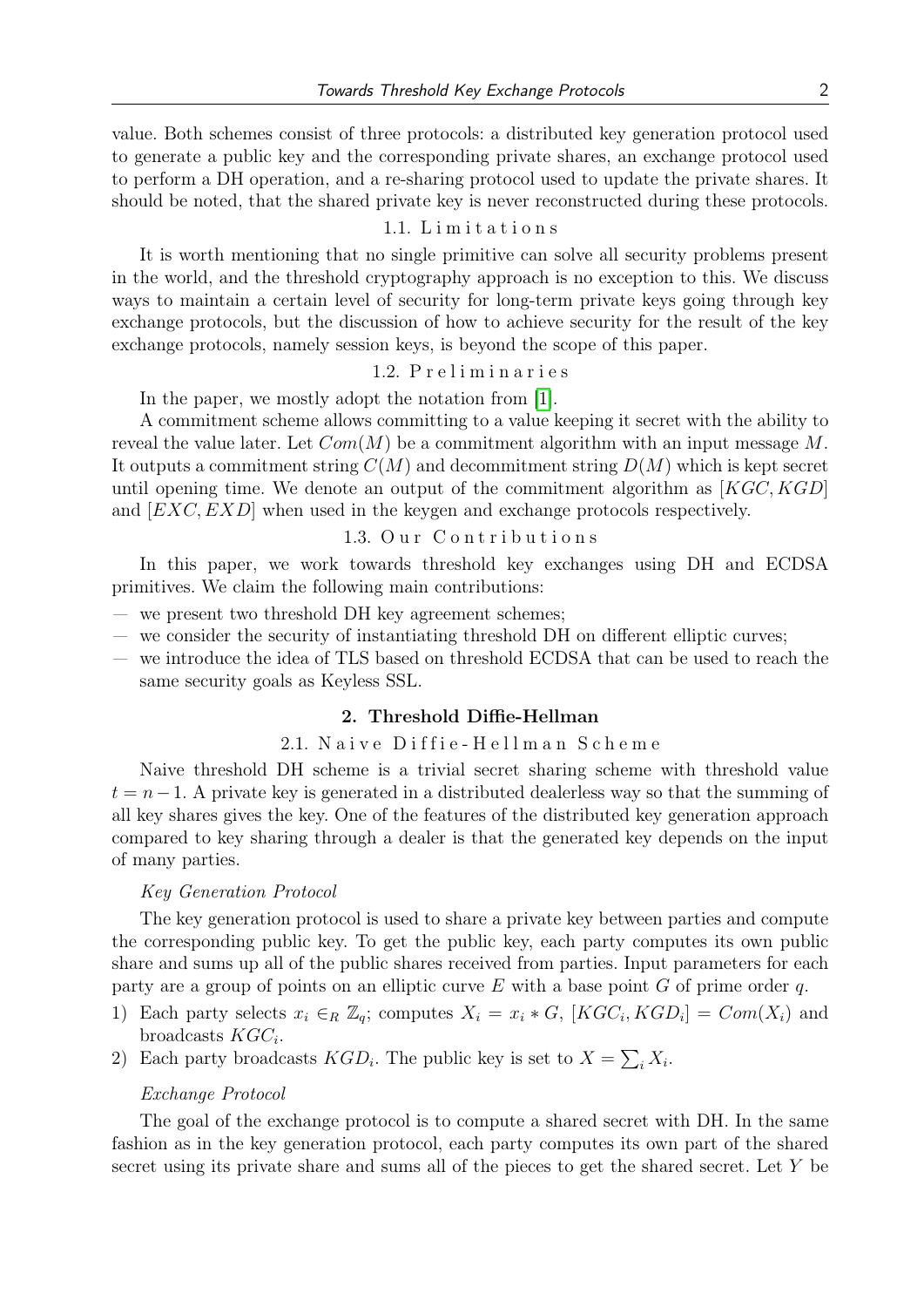value. Both schemes consist of three protocols: a distributed key generation protocol used to generate a public key and the corresponding private shares, an exchange protocol used to perform a DH operation, and a re-sharing protocol used to update the private shares. It should be noted, that the shared private key is never reconstructed during these protocols.

#### 1.1. L i m i t a t i o n s

It is worth mentioning that no single primitive can solve all security problems present in the world, and the threshold cryptography approach is no exception to this. We discuss ways to maintain a certain level of security for long-term private keys going through key exchange protocols, but the discussion of how to achieve security for the result of the key exchange protocols, namely session keys, is beyond the scope of this paper.

## 1.2. Preliminaries

In the paper, we mostly adopt the notation from [\[1\]](#page-9-0).

A commitment scheme allows committing to a value keeping it secret with the ability to reveal the value later. Let  $Com(M)$  be a commitment algorithm with an input message M. It outputs a commitment string  $C(M)$  and decommitment string  $D(M)$  which is kept secret until opening time. We denote an output of the commitment algorithm as  $[KGC, KGD]$ and [EXC, EXD] when used in the keygen and exchange protocols respectively.

# 1.3. Our Contributions

In this paper, we work towards threshold key exchanges using DH and ECDSA primitives. We claim the following main contributions:

- we present two threshold DH key agreement schemes;
- we consider the security of instantiating threshold DH on different elliptic curves;
- we introduce the idea of TLS based on threshold ECDSA that can be used to reach the same security goals as Keyless SSL.

## 2. Threshold Diffie-Hellman

## 2.1. Naive Diffie-Hellman Scheme

Naive threshold DH scheme is a trivial secret sharing scheme with threshold value  $t = n-1$ . A private key is generated in a distributed dealerless way so that the summing of all key shares gives the key. One of the features of the distributed key generation approach compared to key sharing through a dealer is that the generated key depends on the input of many parties.

#### Key Generation Protocol

The key generation protocol is used to share a private key between parties and compute the corresponding public key. To get the public key, each party computes its own public share and sums up all of the public shares received from parties. Input parameters for each party are a group of points on an elliptic curve  $E$  with a base point  $G$  of prime order  $q$ .

- 1) Each party selects  $x_i \in_R \mathbb{Z}_q$ ; computes  $X_i = x_i * G$ ,  $[KGC_i, KGD_i] = Com(X_i)$  and broadcasts  $KGC_i$ .
- 2) Each party broadcasts  $KGD_i$ . The public key is set to  $X = \sum_i X_i$ .

#### Exchange Protocol

The goal of the exchange protocol is to compute a shared secret with DH. In the same fashion as in the key generation protocol, each party computes its own part of the shared secret using its private share and sums all of the pieces to get the shared secret. Let Y be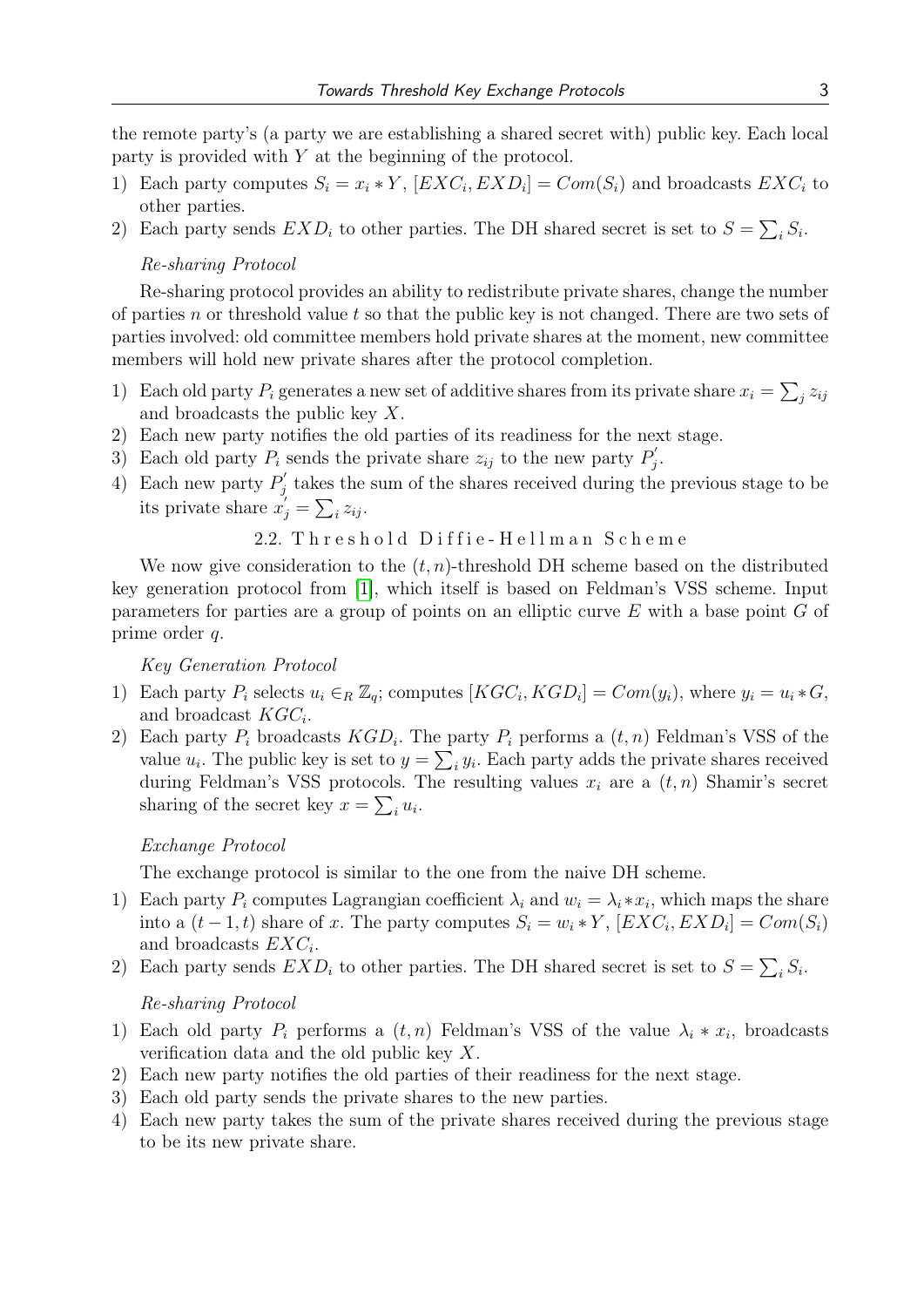the remote party's (a party we are establishing a shared secret with) public key. Each local party is provided with Y at the beginning of the protocol.

- 1) Each party computes  $S_i = x_i * Y$ ,  $[EXC_i, EXP_i] = Com(S_i)$  and broadcasts  $EXC_i$  to other parties.
- 2) Each party sends  $EXP_i$  to other parties. The DH shared secret is set to  $S = \sum_i S_i$ .

#### Re-sharing Protocol

Re-sharing protocol provides an ability to redistribute private shares, change the number of parties n or threshold value t so that the public key is not changed. There are two sets of parties involved: old committee members hold private shares at the moment, new committee members will hold new private shares after the protocol completion.

- 1) Each old party  $P_i$  generates a new set of additive shares from its private share  $x_i = \sum_j z_{ij}$ and broadcasts the public key X.
- 2) Each new party notifies the old parties of its readiness for the next stage.
- 3) Each old party  $P_i$  sends the private share  $z_{ij}$  to the new party  $P'_i$  $_{j}^{\prime }.$
- 4) Each new party  $P_i'$  $g'_{j}$  takes the sum of the shares received during the previous stage to be its private share  $x'_{j} = \sum_{i} z_{ij}$ .

2.2. Threshold Diffie-Hellman Scheme

We now give consideration to the  $(t, n)$ -threshold DH scheme based on the distributed key generation protocol from [\[1\]](#page-9-0), which itself is based on Feldman's VSS scheme. Input parameters for parties are a group of points on an elliptic curve E with a base point G of prime order q.

Key Generation Protocol

- 1) Each party  $P_i$  selects  $u_i \in_R \mathbb{Z}_q$ ; computes  $[KGC_i, KGD_i] = Com(y_i)$ , where  $y_i = u_i * G$ , and broadcast  $KGC_i$ .
- 2) Each party  $P_i$  broadcasts  $KGD_i$ . The party  $P_i$  performs a  $(t, n)$  Feldman's VSS of the value  $u_i$ . The public key is set to  $y = \sum_i y_i$ . Each party adds the private shares received during Feldman's VSS protocols. The resulting values  $x_i$  are a  $(t, n)$  Shamir's secret sharing of the secret key  $x = \sum_i u_i$ .

## Exchange Protocol

The exchange protocol is similar to the one from the naive DH scheme.

- 1) Each party  $P_i$  computes Lagrangian coefficient  $\lambda_i$  and  $w_i = \lambda_i * x_i$ , which maps the share into a  $(t-1,t)$  share of x. The party computes  $S_i = w_i * Y$ ,  $[EXC_i, EXP_i] = Com(S_i)$ and broadcasts  $EXC_i$ .
- 2) Each party sends  $EXP_i$  to other parties. The DH shared secret is set to  $S = \sum_i S_i$ .

## Re-sharing Protocol

- 1) Each old party  $P_i$  performs a  $(t, n)$  Feldman's VSS of the value  $\lambda_i * x_i$ , broadcasts verification data and the old public key X.
- 2) Each new party notifies the old parties of their readiness for the next stage.
- 3) Each old party sends the private shares to the new parties.
- 4) Each new party takes the sum of the private shares received during the previous stage to be its new private share.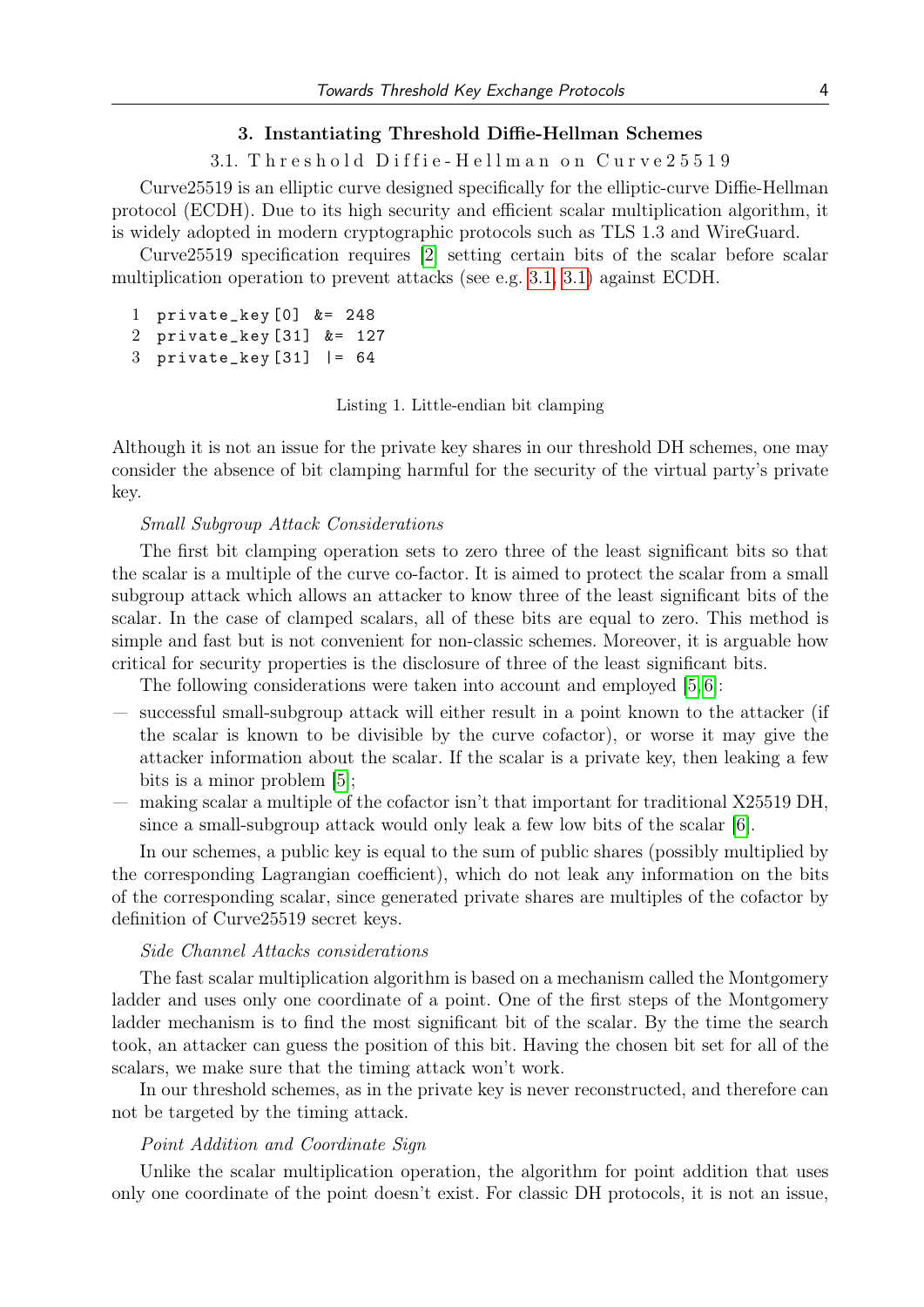#### 3. Instantiating Threshold Diffie-Hellman Schemes

3.1. Threshold Diffie-Hellman on Curve25519

Curve25519 is an elliptic curve designed specifically for the elliptic-curve Diffie-Hellman protocol (ECDH). Due to its high security and efficient scalar multiplication algorithm, it is widely adopted in modern cryptographic protocols such as TLS 1.3 and WireGuard.

Curve25519 specification requires [\[2\]](#page-9-1) setting certain bits of the scalar before scalar multiplication operation to prevent attacks (see e.g. [3.1, 3.1\)](#page-3-0) against ECDH.

```
1 private_key [0] &= 248
2 private_key [31] &= 127
```
<span id="page-3-0"></span>3 private\_key [31] |= 64

Listing 1. Little-endian bit clamping

Although it is not an issue for the private key shares in our threshold DH schemes, one may consider the absence of bit clamping harmful for the security of the virtual party's private key.

#### Small Subgroup Attack Considerations

The first bit clamping operation sets to zero three of the least significant bits so that the scalar is a multiple of the curve co-factor. It is aimed to protect the scalar from a small subgroup attack which allows an attacker to know three of the least significant bits of the scalar. In the case of clamped scalars, all of these bits are equal to zero. This method is simple and fast but is not convenient for non-classic schemes. Moreover, it is arguable how critical for security properties is the disclosure of three of the least significant bits.

The following considerations were taken into account and employed [\[5,](#page-9-2) [6\]](#page-10-0):

- successful small-subgroup attack will either result in a point known to the attacker (if the scalar is known to be divisible by the curve cofactor), or worse it may give the attacker information about the scalar. If the scalar is a private key, then leaking a few bits is a minor problem [\[5\]](#page-9-2);
- making scalar a multiple of the cofactor isn't that important for traditional X25519 DH, since a small-subgroup attack would only leak a few low bits of the scalar [\[6\]](#page-10-0).

In our schemes, a public key is equal to the sum of public shares (possibly multiplied by the corresponding Lagrangian coefficient), which do not leak any information on the bits of the corresponding scalar, since generated private shares are multiples of the cofactor by definition of Curve25519 secret keys.

### Side Channel Attacks considerations

The fast scalar multiplication algorithm is based on a mechanism called the Montgomery ladder and uses only one coordinate of a point. One of the first steps of the Montgomery ladder mechanism is to find the most significant bit of the scalar. By the time the search took, an attacker can guess the position of this bit. Having the chosen bit set for all of the scalars, we make sure that the timing attack won't work.

In our threshold schemes, as in the private key is never reconstructed, and therefore can not be targeted by the timing attack.

#### Point Addition and Coordinate Sign

Unlike the scalar multiplication operation, the algorithm for point addition that uses only one coordinate of the point doesn't exist. For classic DH protocols, it is not an issue,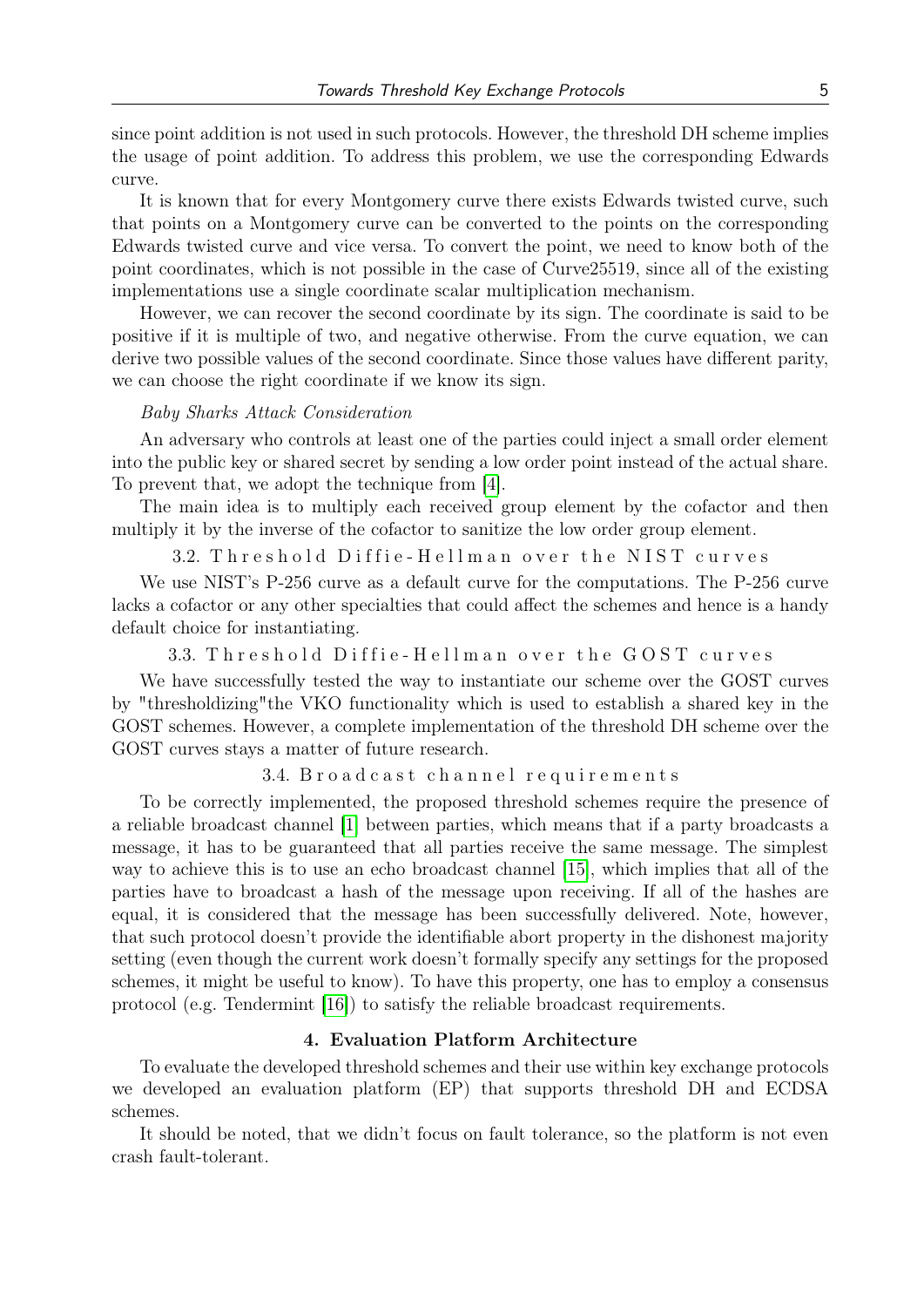since point addition is not used in such protocols. However, the threshold DH scheme implies the usage of point addition. To address this problem, we use the corresponding Edwards curve.

It is known that for every Montgomery curve there exists Edwards twisted curve, such that points on a Montgomery curve can be converted to the points on the corresponding Edwards twisted curve and vice versa. To convert the point, we need to know both of the point coordinates, which is not possible in the case of Curve25519, since all of the existing implementations use a single coordinate scalar multiplication mechanism.

However, we can recover the second coordinate by its sign. The coordinate is said to be positive if it is multiple of two, and negative otherwise. From the curve equation, we can derive two possible values of the second coordinate. Since those values have different parity, we can choose the right coordinate if we know its sign.

#### Baby Sharks Attack Consideration

An adversary who controls at least one of the parties could inject a small order element into the public key or shared secret by sending a low order point instead of the actual share. To prevent that, we adopt the technique from [\[4\]](#page-9-3).

The main idea is to multiply each received group element by the cofactor and then multiply it by the inverse of the cofactor to sanitize the low order group element.

3.2. Threshold Diffie-Hellman over the NIST curves

We use NIST's P-256 curve as a default curve for the computations. The P-256 curve lacks a cofactor or any other specialties that could affect the schemes and hence is a handy default choice for instantiating.

3.3. Threshold Diffie-Hellman over the GOST curves

We have successfully tested the way to instantiate our scheme over the GOST curves by "thresholdizing"the VKO functionality which is used to establish a shared key in the GOST schemes. However, a complete implementation of the threshold DH scheme over the GOST curves stays a matter of future research.

3.4. B r o a d c a s t c h a n n e l r e q u i r e m e n t s

To be correctly implemented, the proposed threshold schemes require the presence of a reliable broadcast channel [\[1\]](#page-9-0) between parties, which means that if a party broadcasts a message, it has to be guaranteed that all parties receive the same message. The simplest way to achieve this is to use an echo broadcast channel [\[15\]](#page-10-1), which implies that all of the parties have to broadcast a hash of the message upon receiving. If all of the hashes are equal, it is considered that the message has been successfully delivered. Note, however, that such protocol doesn't provide the identifiable abort property in the dishonest majority setting (even though the current work doesn't formally specify any settings for the proposed schemes, it might be useful to know). To have this property, one has to employ a consensus protocol (e.g. Tendermint [\[16\]](#page-10-2)) to satisfy the reliable broadcast requirements.

#### 4. Evaluation Platform Architecture

To evaluate the developed threshold schemes and their use within key exchange protocols we developed an evaluation platform (EP) that supports threshold DH and ECDSA schemes.

It should be noted, that we didn't focus on fault tolerance, so the platform is not even crash fault-tolerant.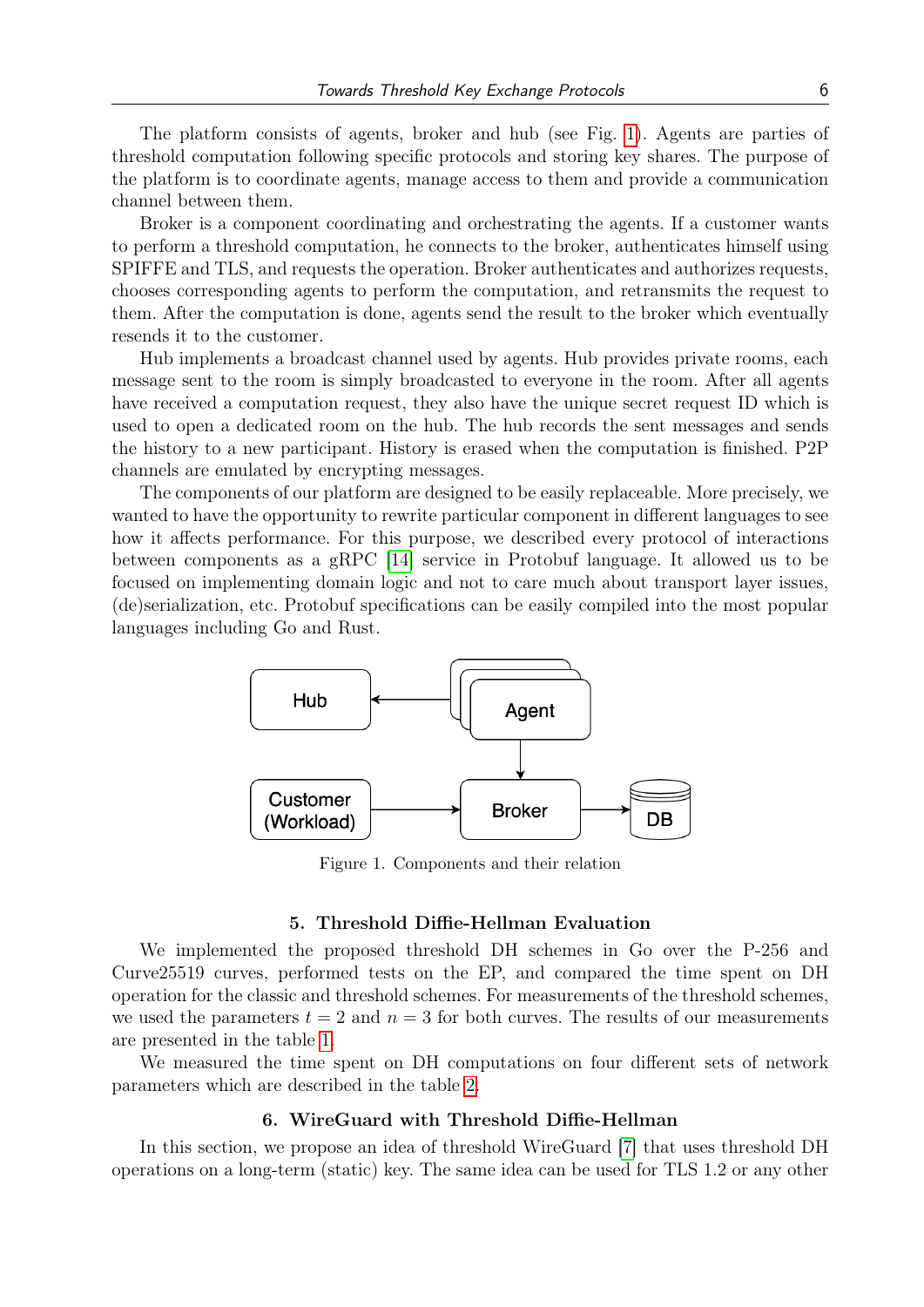The platform consists of agents, broker and hub (see Fig. [1\)](#page-5-0). Agents are parties of threshold computation following specific protocols and storing key shares. The purpose of the platform is to coordinate agents, manage access to them and provide a communication channel between them.

Broker is a component coordinating and orchestrating the agents. If a customer wants to perform a threshold computation, he connects to the broker, authenticates himself using SPIFFE and TLS, and requests the operation. Broker authenticates and authorizes requests, chooses corresponding agents to perform the computation, and retransmits the request to them. After the computation is done, agents send the result to the broker which eventually resends it to the customer.

Hub implements a broadcast channel used by agents. Hub provides private rooms, each message sent to the room is simply broadcasted to everyone in the room. After all agents have received a computation request, they also have the unique secret request ID which is used to open a dedicated room on the hub. The hub records the sent messages and sends the history to a new participant. History is erased when the computation is finished. P2P channels are emulated by encrypting messages.

The components of our platform are designed to be easily replaceable. More precisely, we wanted to have the opportunity to rewrite particular component in different languages to see how it affects performance. For this purpose, we described every protocol of interactions between components as a gRPC [\[14\]](#page-10-3) service in Protobuf language. It allowed us to be focused on implementing domain logic and not to care much about transport layer issues, (de)serialization, etc. Protobuf specifications can be easily compiled into the most popular languages including Go and Rust.

<span id="page-5-0"></span>

Figure 1. Components and their relation

## 5. Threshold Diffie-Hellman Evaluation

We implemented the proposed threshold DH schemes in Go over the P-256 and Curve25519 curves, performed tests on the EP, and compared the time spent on DH operation for the classic and threshold schemes. For measurements of the threshold schemes, we used the parameters  $t = 2$  and  $n = 3$  for both curves. The results of our measurements are presented in the table [1.](#page-6-0)

We measured the time spent on DH computations on four different sets of network parameters which are described in the table [2.](#page-6-1)

## 6. WireGuard with Threshold Diffie-Hellman

In this section, we propose an idea of threshold WireGuard [\[7\]](#page-10-4) that uses threshold DH operations on a long-term (static) key. The same idea can be used for TLS 1.2 or any other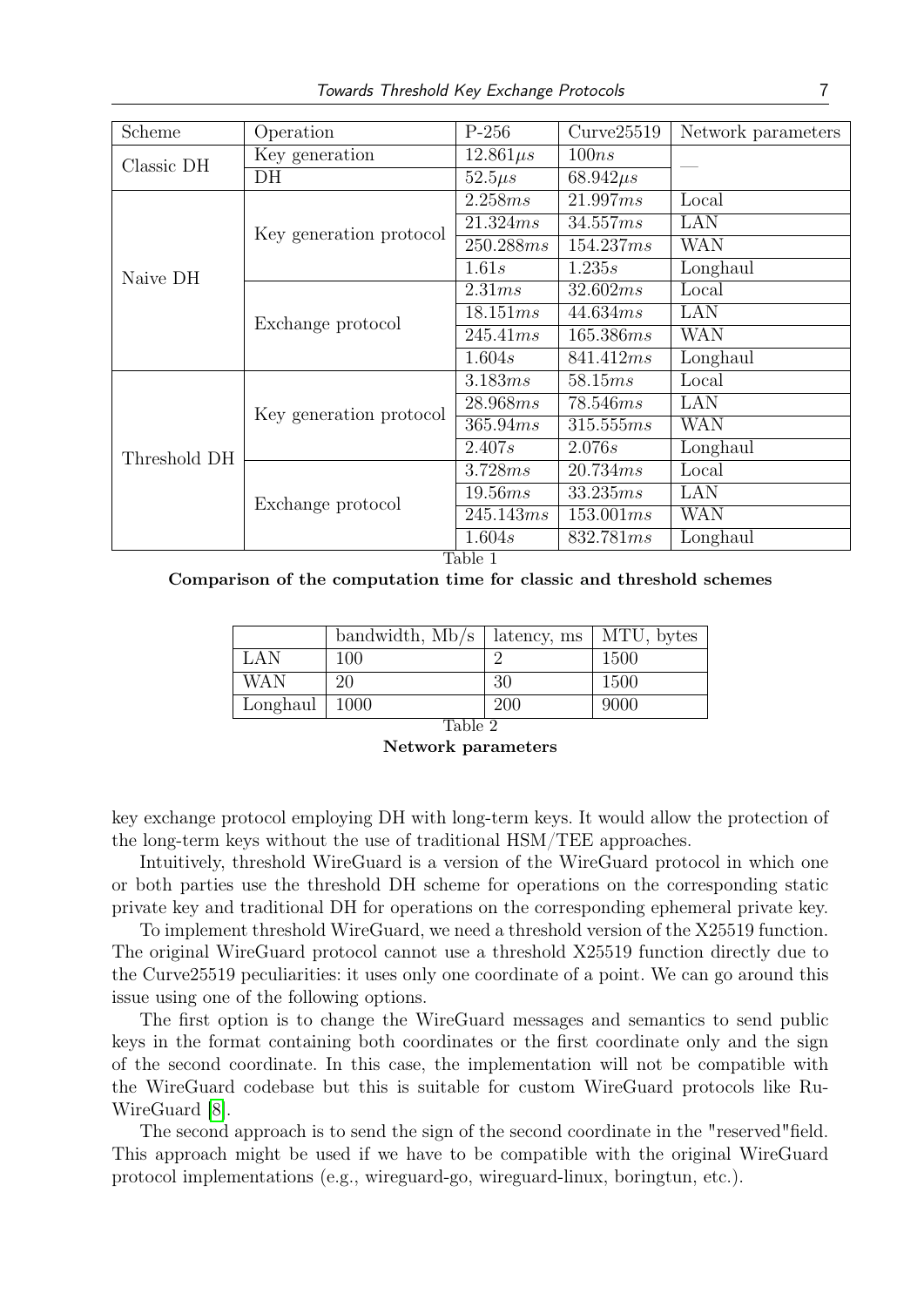<span id="page-6-0"></span>

| Scheme       | Operation               | $P-256$           | Curve25519        | Network parameters |
|--------------|-------------------------|-------------------|-------------------|--------------------|
| Classic DH   | Key generation          | $12.861 \mu s$    | 100ns             |                    |
|              | DH                      | $52.5\mu s$       | $68.942 \mu s$    |                    |
| Naive DH     | Key generation protocol | 2.258ms           | 21.997ms          | Local              |
|              |                         | 21.324ms          | 34.557ms          | LAN                |
|              |                         | 250.288 <i>ms</i> | 154.237ms         | <b>WAN</b>         |
|              |                         | 1.61s             | 1.235s            | Longhaul           |
|              | Exchange protocol       | 2.31ms            | 32.602ms          | Local              |
|              |                         | 18.151ms          | 44.634ms          | LAN                |
|              |                         | 245.41ms          | 165.386ms         | <b>WAN</b>         |
|              |                         | 1.604s            | 841.412ms         | Longhaul           |
| Threshold DH | Key generation protocol | 3.183ms           | 58.15ms           | Local              |
|              |                         | 28.968ms          | 78.546 <i>ms</i>  | LAN                |
|              |                         | 365.94ms          | 315.555ms         | <b>WAN</b>         |
|              |                         | 2.407s            | 2.076s            | Longhaul           |
|              | Exchange protocol       | 3.728ms           | 20.734ms          | Local              |
|              |                         | 19.56ms           | 33.235ms          | LAN                |
|              |                         | 245.143ms         | 153.001ms         | <b>WAN</b>         |
|              |                         | 1.604s            | 832.781 <i>ms</i> | Longhaul           |

Table 1

<span id="page-6-1"></span>Comparison of the computation time for classic and threshold schemes

|                   | bandwidth, $Mb/s$   latency, ms   MTU, bytes |     |      |
|-------------------|----------------------------------------------|-----|------|
| LAN               | 100                                          |     | 1500 |
| <b>WAN</b>        | 20                                           | 30  | 1500 |
| Longhaul   $1000$ |                                              | 200 | 9000 |

| Table 2            |
|--------------------|
| Network parameters |

key exchange protocol employing DH with long-term keys. It would allow the protection of the long-term keys without the use of traditional HSM/TEE approaches.

Intuitively, threshold WireGuard is a version of the WireGuard protocol in which one or both parties use the threshold DH scheme for operations on the corresponding static private key and traditional DH for operations on the corresponding ephemeral private key.

To implement threshold WireGuard, we need a threshold version of the X25519 function. The original WireGuard protocol cannot use a threshold X25519 function directly due to the Curve25519 peculiarities: it uses only one coordinate of a point. We can go around this issue using one of the following options.

The first option is to change the WireGuard messages and semantics to send public keys in the format containing both coordinates or the first coordinate only and the sign of the second coordinate. In this case, the implementation will not be compatible with the WireGuard codebase but this is suitable for custom WireGuard protocols like Ru-WireGuard [\[8\]](#page-10-5).

The second approach is to send the sign of the second coordinate in the "reserved"field. This approach might be used if we have to be compatible with the original WireGuard protocol implementations (e.g., wireguard-go, wireguard-linux, boringtun, etc.).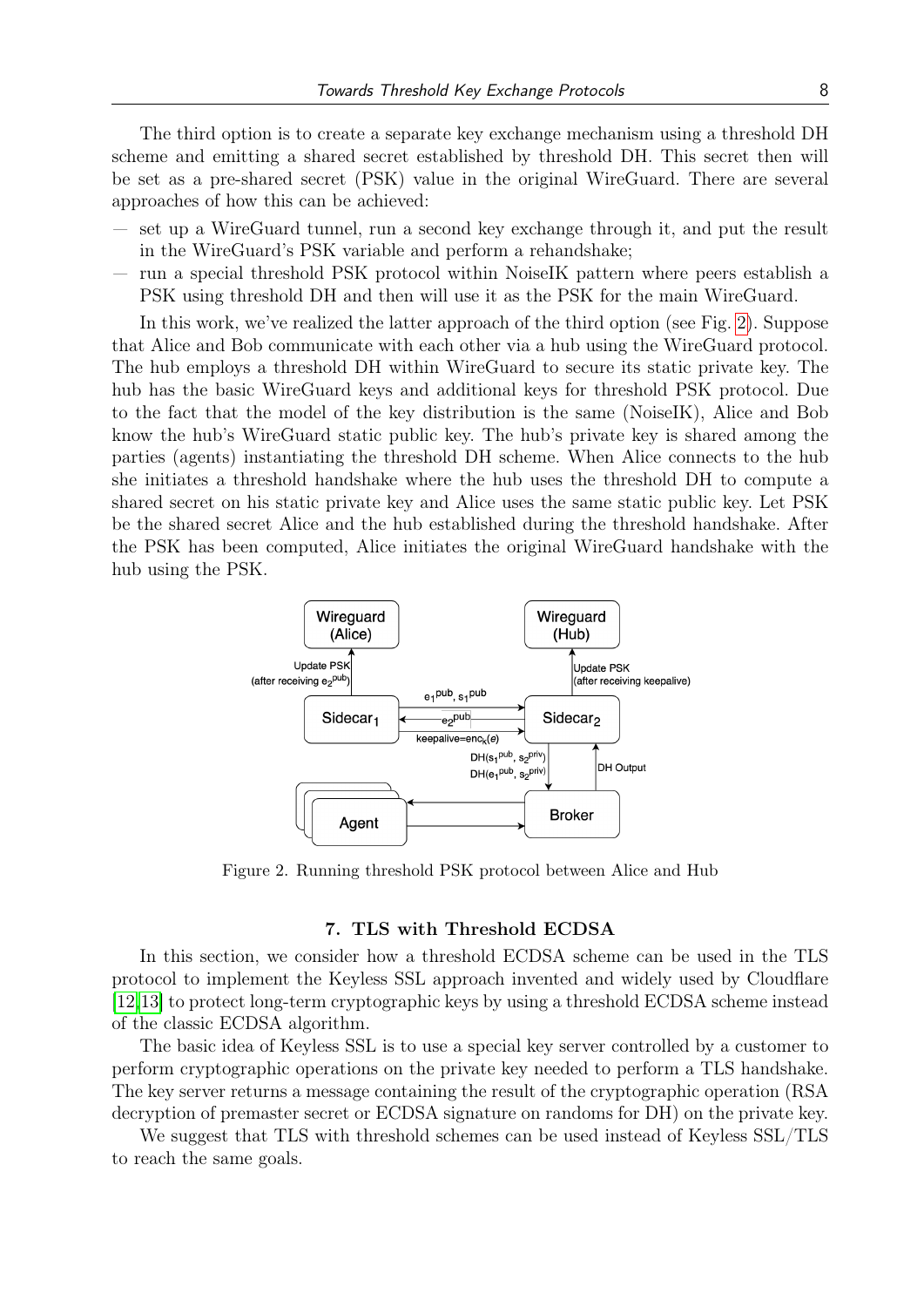The third option is to create a separate key exchange mechanism using a threshold DH scheme and emitting a shared secret established by threshold DH. This secret then will be set as a pre-shared secret (PSK) value in the original WireGuard. There are several approaches of how this can be achieved:

- set up a WireGuard tunnel, run a second key exchange through it, and put the result in the WireGuard's PSK variable and perform a rehandshake;
- run a special threshold PSK protocol within NoiseIK pattern where peers establish a PSK using threshold DH and then will use it as the PSK for the main WireGuard.

In this work, we've realized the latter approach of the third option (see Fig. [2\)](#page-7-0). Suppose that Alice and Bob communicate with each other via a hub using the WireGuard protocol. The hub employs a threshold DH within WireGuard to secure its static private key. The hub has the basic WireGuard keys and additional keys for threshold PSK protocol. Due to the fact that the model of the key distribution is the same (NoiseIK), Alice and Bob know the hub's WireGuard static public key. The hub's private key is shared among the parties (agents) instantiating the threshold DH scheme. When Alice connects to the hub she initiates a threshold handshake where the hub uses the threshold DH to compute a shared secret on his static private key and Alice uses the same static public key. Let PSK be the shared secret Alice and the hub established during the threshold handshake. After the PSK has been computed, Alice initiates the original WireGuard handshake with the hub using the PSK.

<span id="page-7-0"></span>

Figure 2. Running threshold PSK protocol between Alice and Hub

## 7. TLS with Threshold ECDSA

In this section, we consider how a threshold ECDSA scheme can be used in the TLS protocol to implement the Keyless SSL approach invented and widely used by Cloudflare [\[12,](#page-10-6)[13\]](#page-10-7) to protect long-term cryptographic keys by using a threshold ECDSA scheme instead of the classic ECDSA algorithm.

The basic idea of Keyless SSL is to use a special key server controlled by a customer to perform cryptographic operations on the private key needed to perform a TLS handshake. The key server returns a message containing the result of the cryptographic operation (RSA decryption of premaster secret or ECDSA signature on randoms for DH) on the private key.

We suggest that TLS with threshold schemes can be used instead of Keyless SSL/TLS to reach the same goals.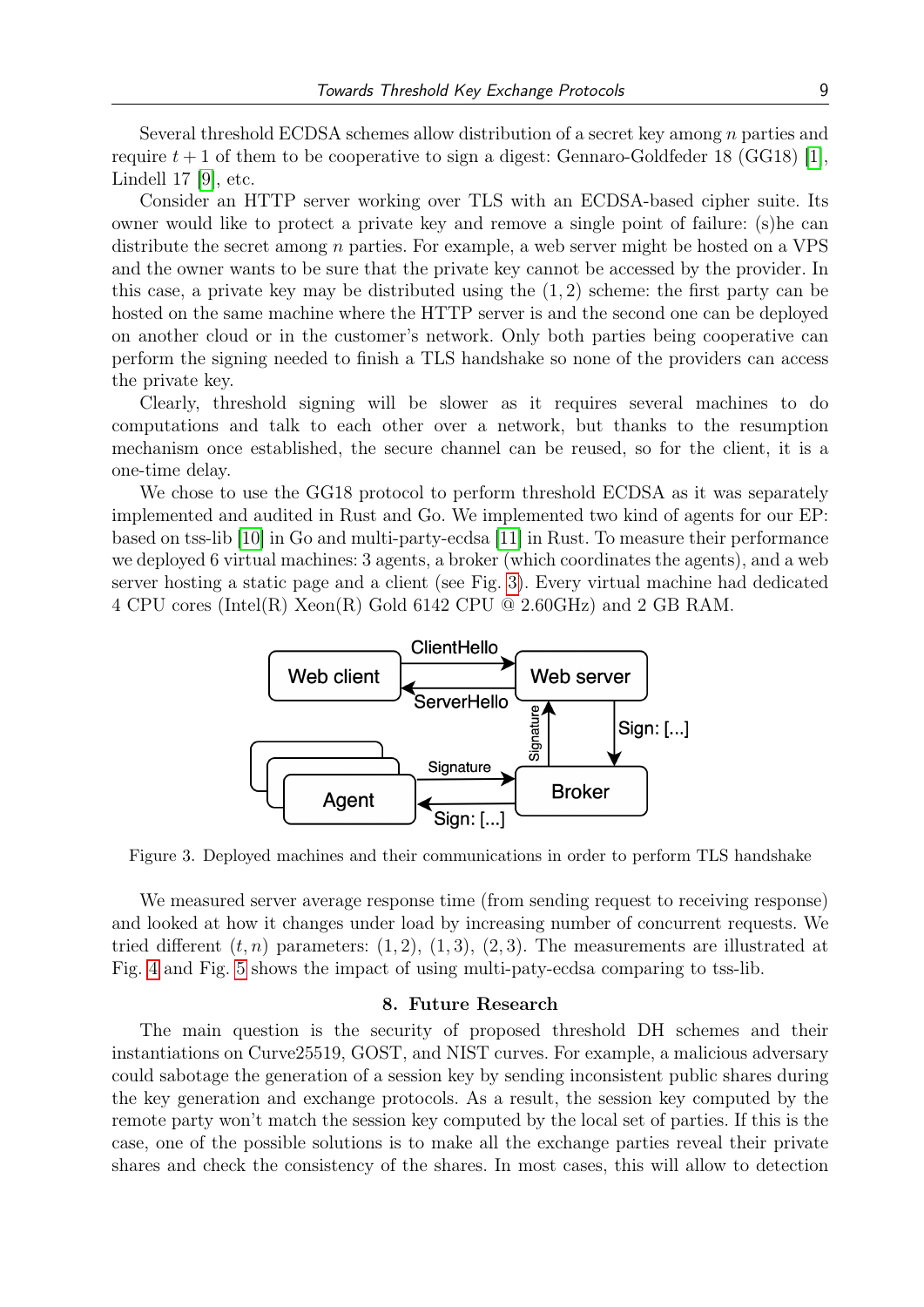Several threshold ECDSA schemes allow distribution of a secret key among n parties and require  $t + 1$  of them to be cooperative to sign a digest: Gennaro-Goldfeder 18 (GG18) [\[1\]](#page-9-0), Lindell 17 [\[9\]](#page-10-8), etc.

Consider an HTTP server working over TLS with an ECDSA-based cipher suite. Its owner would like to protect a private key and remove a single point of failure: (s)he can distribute the secret among  $n$  parties. For example, a web server might be hosted on a VPS and the owner wants to be sure that the private key cannot be accessed by the provider. In this case, a private key may be distributed using the  $(1, 2)$  scheme: the first party can be hosted on the same machine where the HTTP server is and the second one can be deployed on another cloud or in the customer's network. Only both parties being cooperative can perform the signing needed to finish a TLS handshake so none of the providers can access the private key.

Clearly, threshold signing will be slower as it requires several machines to do computations and talk to each other over a network, but thanks to the resumption mechanism once established, the secure channel can be reused, so for the client, it is a one-time delay.

We chose to use the GG18 protocol to perform threshold ECDSA as it was separately implemented and audited in Rust and Go. We implemented two kind of agents for our EP: based on tss-lib [\[10\]](#page-10-9) in Go and multi-party-ecdsa [\[11\]](#page-10-10) in Rust. To measure their performance we deployed 6 virtual machines: 3 agents, a broker (which coordinates the agents), and a web server hosting a static page and a client (see Fig. [3\)](#page-8-0). Every virtual machine had dedicated 4 CPU cores (Intel(R) Xeon(R) Gold 6142 CPU  $\textcircled{2}.60\text{GHz}$ ) and 2 GB RAM.

<span id="page-8-0"></span>

Figure 3. Deployed machines and their communications in order to perform TLS handshake

We measured server average response time (from sending request to receiving response) and looked at how it changes under load by increasing number of concurrent requests. We tried different  $(t, n)$  parameters:  $(1, 2), (1, 3), (2, 3)$ . The measurements are illustrated at Fig. [4](#page-9-4) and Fig. [5](#page-9-5) shows the impact of using multi-paty-ecdsa comparing to tss-lib.

#### 8. Future Research

The main question is the security of proposed threshold DH schemes and their instantiations on Curve25519, GOST, and NIST curves. For example, a malicious adversary could sabotage the generation of a session key by sending inconsistent public shares during the key generation and exchange protocols. As a result, the session key computed by the remote party won't match the session key computed by the local set of parties. If this is the case, one of the possible solutions is to make all the exchange parties reveal their private shares and check the consistency of the shares. In most cases, this will allow to detection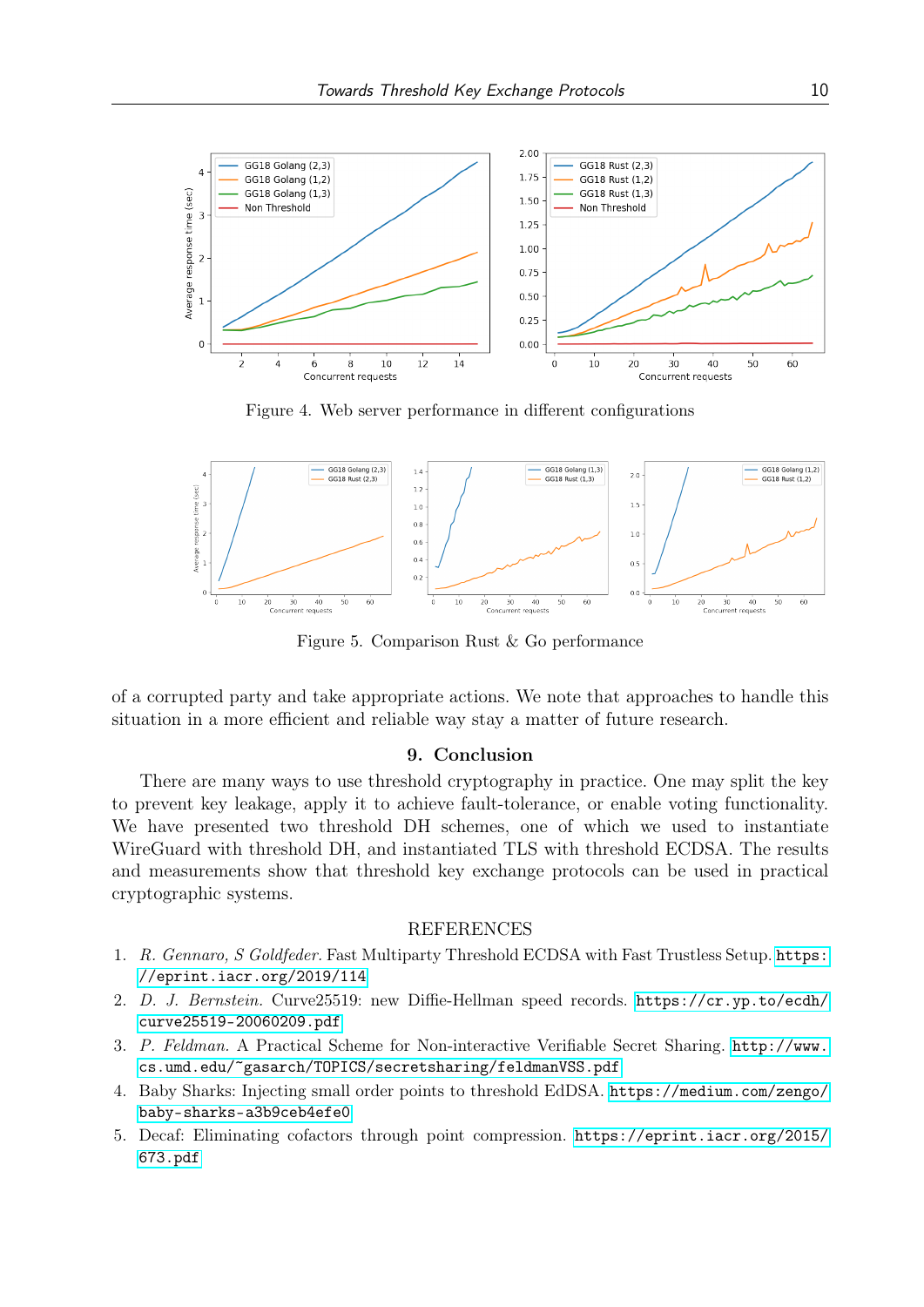<span id="page-9-4"></span>

Figure 4. Web server performance in different configurations

<span id="page-9-5"></span>

Figure 5. Comparison Rust & Go performance

of a corrupted party and take appropriate actions. We note that approaches to handle this situation in a more efficient and reliable way stay a matter of future research.

## 9. Conclusion

There are many ways to use threshold cryptography in practice. One may split the key to prevent key leakage, apply it to achieve fault-tolerance, or enable voting functionality. We have presented two threshold DH schemes, one of which we used to instantiate WireGuard with threshold DH, and instantiated TLS with threshold ECDSA. The results and measurements show that threshold key exchange protocols can be used in practical cryptographic systems.

## REFERENCES

- <span id="page-9-0"></span>1. R. Gennaro, S Goldfeder. Fast Multiparty Threshold ECDSA with Fast Trustless Setup. [https:](https://eprint.iacr.org/2019/114) [//eprint.iacr.org/2019/114](https://eprint.iacr.org/2019/114)
- <span id="page-9-1"></span>2. D. J. Bernstein. Curve25519: new Diffie-Hellman speed records. [https://cr.yp.to/ecdh/](https://cr.yp.to/ecdh/curve25519-20060209.pdf) [curve25519-20060209.pdf](https://cr.yp.to/ecdh/curve25519-20060209.pdf)
- 3. P. Feldman. A Practical Scheme for Non-interactive Verifiable Secret Sharing. [http://www.](http://www.cs.umd.edu/~gasarch/TOPICS/secretsharing/feldmanVSS.pdf) [cs.umd.edu/~gasarch/TOPICS/secretsharing/feldmanVSS.pdf](http://www.cs.umd.edu/~gasarch/TOPICS/secretsharing/feldmanVSS.pdf)
- <span id="page-9-3"></span>4. Baby Sharks: Injecting small order points to threshold EdDSA. [https://medium.com/zengo/](https://medium.com/zengo/baby-sharks-a3b9ceb4efe0) [baby-sharks-a3b9ceb4efe0](https://medium.com/zengo/baby-sharks-a3b9ceb4efe0)
- <span id="page-9-2"></span>5. Decaf: Eliminating cofactors through point compression. [https://eprint.iacr.org/2015/](https://eprint.iacr.org/2015/673.pdf) [673.pdf](https://eprint.iacr.org/2015/673.pdf)